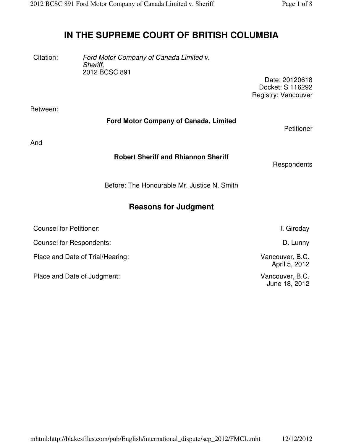# **IN THE SUPREME COURT OF BRITISH COLUMBIA**

Citation: Ford Motor Company of Canada Limited v. Sheriff, 2012 BCSC 891

> Date: 20120618 Docket: S 116292 Registry: Vancouver

Between:

### **Ford Motor Company of Canada, Limited**

Petitioner

And

### **Robert Sheriff and Rhiannon Sheriff**

**Respondents** 

Before: The Honourable Mr. Justice N. Smith

## **Reasons for Judgment**

| <b>Counsel for Petitioner:</b>   | I. Giroday                       |
|----------------------------------|----------------------------------|
| Counsel for Respondents:         | D. Lunny                         |
| Place and Date of Trial/Hearing: | Vancouver, B.C.<br>April 5, 2012 |
| Place and Date of Judgment:      | Vancouver, B.C.<br>June 18, 2012 |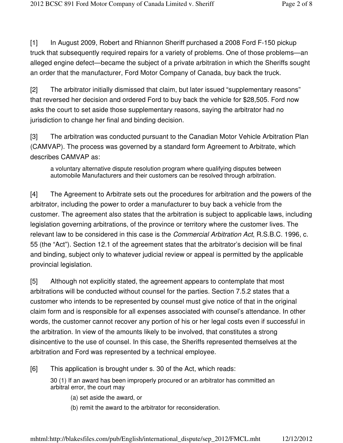[1] In August 2009, Robert and Rhiannon Sheriff purchased a 2008 Ford F-150 pickup truck that subsequently required repairs for a variety of problems. One of those problems—an alleged engine defect—became the subject of a private arbitration in which the Sheriffs sought an order that the manufacturer, Ford Motor Company of Canada, buy back the truck.

[2] The arbitrator initially dismissed that claim, but later issued "supplementary reasons" that reversed her decision and ordered Ford to buy back the vehicle for \$28,505. Ford now asks the court to set aside those supplementary reasons, saying the arbitrator had no jurisdiction to change her final and binding decision.

[3] The arbitration was conducted pursuant to the Canadian Motor Vehicle Arbitration Plan (CAMVAP). The process was governed by a standard form Agreement to Arbitrate, which describes CAMVAP as:

a voluntary alternative dispute resolution program where qualifying disputes between automobile Manufacturers and their customers can be resolved through arbitration.

[4] The Agreement to Arbitrate sets out the procedures for arbitration and the powers of the arbitrator, including the power to order a manufacturer to buy back a vehicle from the customer. The agreement also states that the arbitration is subject to applicable laws, including legislation governing arbitrations, of the province or territory where the customer lives. The relevant law to be considered in this case is the *Commercial Arbitration Act*, R.S.B.C. 1996, c. 55 (the "Act"). Section 12.1 of the agreement states that the arbitrator's decision will be final and binding, subject only to whatever judicial review or appeal is permitted by the applicable provincial legislation.

[5] Although not explicitly stated, the agreement appears to contemplate that most arbitrations will be conducted without counsel for the parties. Section 7.5.2 states that a customer who intends to be represented by counsel must give notice of that in the original claim form and is responsible for all expenses associated with counsel's attendance. In other words, the customer cannot recover any portion of his or her legal costs even if successful in the arbitration. In view of the amounts likely to be involved, that constitutes a strong disincentive to the use of counsel. In this case, the Sheriffs represented themselves at the arbitration and Ford was represented by a technical employee.

[6] This application is brought under s. 30 of the Act, which reads:

30 (1) If an award has been improperly procured or an arbitrator has committed an arbitral error, the court may

- (a) set aside the award, or
- (b) remit the award to the arbitrator for reconsideration.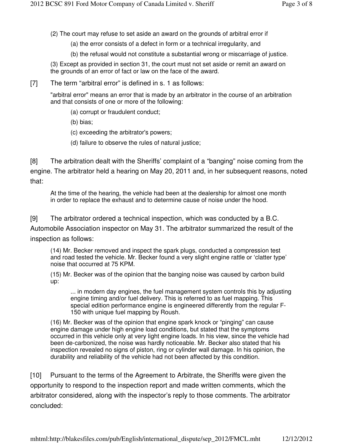(2) The court may refuse to set aside an award on the grounds of arbitral error if

(a) the error consists of a defect in form or a technical irregularity, and

(b) the refusal would not constitute a substantial wrong or miscarriage of justice.

(3) Except as provided in section 31, the court must not set aside or remit an award on the grounds of an error of fact or law on the face of the award.

[7] The term "arbitral error" is defined in s. 1 as follows:

"arbitral error" means an error that is made by an arbitrator in the course of an arbitration and that consists of one or more of the following:

- (a) corrupt or fraudulent conduct;
- (b) bias;
- (c) exceeding the arbitrator's powers;
- (d) failure to observe the rules of natural justice;

[8] The arbitration dealt with the Sheriffs' complaint of a "banging" noise coming from the engine. The arbitrator held a hearing on May 20, 2011 and, in her subsequent reasons, noted that:

At the time of the hearing, the vehicle had been at the dealership for almost one month in order to replace the exhaust and to determine cause of noise under the hood.

[9] The arbitrator ordered a technical inspection, which was conducted by a B.C.

Automobile Association inspector on May 31. The arbitrator summarized the result of the inspection as follows:

(14) Mr. Becker removed and inspect the spark plugs, conducted a compression test and road tested the vehicle. Mr. Becker found a very slight engine rattle or 'clatter type' noise that occurred at 75 KPM.

(15) Mr. Becker was of the opinion that the banging noise was caused by carbon build up:

... in modern day engines, the fuel management system controls this by adjusting engine timing and/or fuel delivery. This is referred to as fuel mapping. This special edition performance engine is engineered differently from the regular F-150 with unique fuel mapping by Roush.

(16) Mr. Becker was of the opinion that engine spark knock or "pinging" can cause engine damage under high engine load conditions, but stated that the symptoms occurred in this vehicle only at very light engine loads. In his view, since the vehicle had been de-carbonized, the noise was hardly noticeable. Mr. Becker also stated that his inspection revealed no signs of piston, ring or cylinder wall damage. In his opinion, the durability and reliability of the vehicle had not been affected by this condition.

[10] Pursuant to the terms of the Agreement to Arbitrate, the Sheriffs were given the opportunity to respond to the inspection report and made written comments, which the arbitrator considered, along with the inspector's reply to those comments. The arbitrator concluded:

mhtml:http://blakesfiles.com/pub/English/international\_dispute/sep\_2012/FMCL.mht 12/12/2012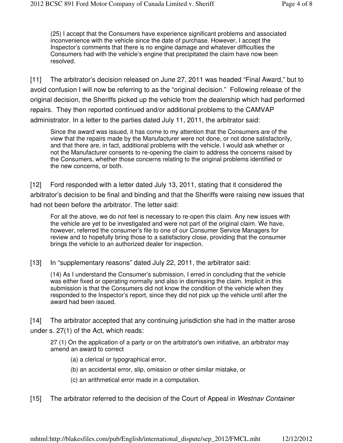(25) I accept that the Consumers have experience significant problems and associated inconvenience with the vehicle since the date of purchase. However, I accept the Inspector's comments that there is no engine damage and whatever difficulties the Consumers had with the vehicle's engine that precipitated the claim have now been resolved.

[11] The arbitrator's decision released on June 27, 2011 was headed "Final Award," but to avoid confusion I will now be referring to as the "original decision." Following release of the original decision, the Sheriffs picked up the vehicle from the dealership which had performed repairs. They then reported continued and/or additional problems to the CAMVAP administrator. In a letter to the parties dated July 11, 2011, the arbitrator said:

Since the award was issued, it has come to my attention that the Consumers are of the view that the repairs made by the Manufacturer were not done, or not done satisfactorily, and that there are, in fact, additional problems with the vehicle. I would ask whether or not the Manufacturer consents to re-opening the claim to address the concerns raised by the Consumers, whether those concerns relating to the original problems identified or the new concerns, or both.

[12] Ford responded with a letter dated July 13, 2011, stating that it considered the arbitrator's decision to be final and binding and that the Sheriffs were raising new issues that had not been before the arbitrator. The letter said:

For all the above, we do not feel is necessary to re-open this claim. Any new issues with the vehicle are yet to be investigated and were not part of the original claim. We have, however, referred the consumer's file to one of our Consumer Service Managers for review and to hopefully bring those to a satisfactory close, providing that the consumer brings the vehicle to an authorized dealer for inspection.

[13] In "supplementary reasons" dated July 22, 2011, the arbitrator said:

(14) As I understand the Consumer's submission, I erred in concluding that the vehicle was either fixed or operating normally and also in dismissing the claim. Implicit in this submission is that the Consumers did not know the condition of the vehicle when they responded to the Inspector's report, since they did not pick up the vehicle until after the award had been issued.

[14] The arbitrator accepted that any continuing jurisdiction she had in the matter arose under s. 27(1) of the Act, which reads:

27 (1) On the application of a party or on the arbitrator's own initiative, an arbitrator may amend an award to correct

(a) a clerical or typographical error,

- (b) an accidental error, slip, omission or other similar mistake, or
- (c) an arithmetical error made in a computation.

#### [15] The arbitrator referred to the decision of the Court of Appeal in Westnay Container

mhtml:http://blakesfiles.com/pub/English/international\_dispute/sep\_2012/FMCL.mht 12/12/2012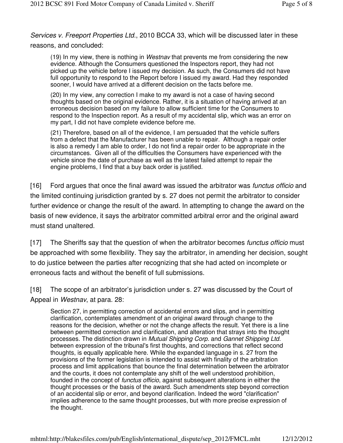Services v. Freeport Properties Ltd., 2010 BCCA 33, which will be discussed later in these reasons, and concluded:

(19) In my view, there is nothing in *Westnav* that prevents me from considering the new evidence. Although the Consumers questioned the Inspectors report, they had not picked up the vehicle before I issued my decision. As such, the Consumers did not have full opportunity to respond to the Report before I issued my award. Had they responded sooner, I would have arrived at a different decision on the facts before me.

(20) In my view, any correction I make to my award is not a case of having second thoughts based on the original evidence. Rather, it is a situation of having arrived at an erroneous decision based on my failure to allow sufficient time for the Consumers to respond to the Inspection report. As a result of my accidental slip, which was an error on my part, I did not have complete evidence before me.

(21) Therefore, based on all of the evidence, I am persuaded that the vehicle suffers from a defect that the Manufacturer has been unable to repair. Although a repair order is also a remedy I am able to order, I do not find a repair order to be appropriate in the circumstances. Given all of the difficulties the Consumers have experienced with the vehicle since the date of purchase as well as the latest failed attempt to repair the engine problems, I find that a buy back order is justified.

[16] Ford argues that once the final award was issued the arbitrator was *functus officio* and the limited continuing jurisdiction granted by s. 27 does not permit the arbitrator to consider further evidence or change the result of the award. In attempting to change the award on the basis of new evidence, it says the arbitrator committed arbitral error and the original award must stand unaltered.

[17] The Sheriffs say that the question of when the arbitrator becomes functus officio must be approached with some flexibility. They say the arbitrator, in amending her decision, sought to do justice between the parties after recognizing that she had acted on incomplete or erroneous facts and without the benefit of full submissions.

[18] The scope of an arbitrator's jurisdiction under s. 27 was discussed by the Court of Appeal in Westnav, at para. 28:

Section 27, in permitting correction of accidental errors and slips, and in permitting clarification, contemplates amendment of an original award through change to the reasons for the decision, whether or not the change affects the result. Yet there is a line between permitted correction and clarification, and alteration that strays into the thought processes. The distinction drawn in Mutual Shipping Corp. and Gannet Shipping Ltd. between expression of the tribunal's first thoughts, and corrections that reflect second thoughts, is equally applicable here. While the expanded language in s. 27 from the provisions of the former legislation is intended to assist with finality of the arbitration process and limit applications that bounce the final determination between the arbitrator and the courts, it does not contemplate any shift of the well understood prohibition, founded in the concept of *functus officio*, against subsequent alterations in either the thought processes or the basis of the award. Such amendments step beyond correction of an accidental slip or error, and beyond clarification. Indeed the word "clarification" implies adherence to the same thought processes, but with more precise expression of the thought.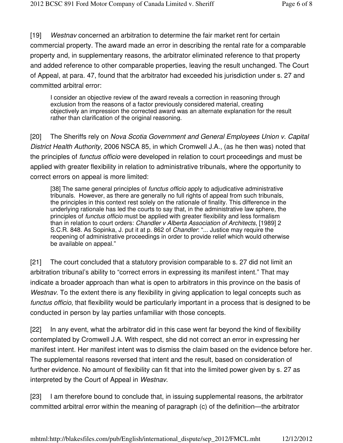[19] Westnav concerned an arbitration to determine the fair market rent for certain commercial property. The award made an error in describing the rental rate for a comparable property and, in supplementary reasons, the arbitrator eliminated reference to that property and added reference to other comparable properties, leaving the result unchanged. The Court of Appeal, at para. 47, found that the arbitrator had exceeded his jurisdiction under s. 27 and committed arbitral error:

I consider an objective review of the award reveals a correction in reasoning through exclusion from the reasons of a factor previously considered material, creating objectively an impression the corrected award was an alternate explanation for the result rather than clarification of the original reasoning.

[20] The Sheriffs rely on Nova Scotia Government and General Employees Union v. Capital District Health Authority, 2006 NSCA 85, in which Cromwell J.A., (as he then was) noted that the principles of functus officio were developed in relation to court proceedings and must be applied with greater flexibility in relation to administrative tribunals, where the opportunity to correct errors on appeal is more limited:

[38] The same general principles of *functus officio* apply to adjudicative administrative tribunals. However, as there are generally no full rights of appeal from such tribunals, the principles in this context rest solely on the rationale of finality. This difference in the underlying rationale has led the courts to say that, in the administrative law sphere, the principles of functus officio must be applied with greater flexibility and less formalism than in relation to court orders: Chandler v Alberta Association of Architects, [1989] 2 S.C.R. 848. As Sopinka, J. put it at p. 862 of Chandler: "... Justice may require the reopening of administrative proceedings in order to provide relief which would otherwise be available on appeal."

[21] The court concluded that a statutory provision comparable to s. 27 did not limit an arbitration tribunal's ability to "correct errors in expressing its manifest intent." That may indicate a broader approach than what is open to arbitrators in this province on the basis of Westnav. To the extent there is any flexibility in giving application to legal concepts such as functus officio, that flexibility would be particularly important in a process that is designed to be conducted in person by lay parties unfamiliar with those concepts.

[22] In any event, what the arbitrator did in this case went far beyond the kind of flexibility contemplated by Cromwell J.A. With respect, she did not correct an error in expressing her manifest intent. Her manifest intent was to dismiss the claim based on the evidence before her. The supplemental reasons reversed that intent and the result, based on consideration of further evidence. No amount of flexibility can fit that into the limited power given by s. 27 as interpreted by the Court of Appeal in Westnav.

[23] I am therefore bound to conclude that, in issuing supplemental reasons, the arbitrator committed arbitral error within the meaning of paragraph (c) of the definition—the arbitrator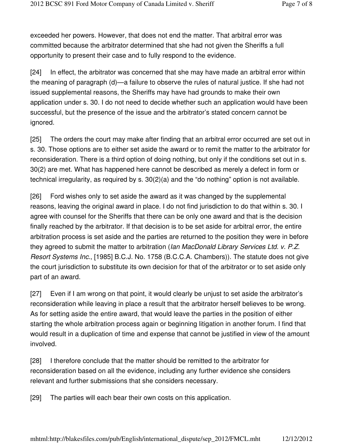exceeded her powers. However, that does not end the matter. That arbitral error was committed because the arbitrator determined that she had not given the Sheriffs a full opportunity to present their case and to fully respond to the evidence.

[24] In effect, the arbitrator was concerned that she may have made an arbitral error within the meaning of paragraph (d)—a failure to observe the rules of natural justice. If she had not issued supplemental reasons, the Sheriffs may have had grounds to make their own application under s. 30. I do not need to decide whether such an application would have been successful, but the presence of the issue and the arbitrator's stated concern cannot be ignored.

[25] The orders the court may make after finding that an arbitral error occurred are set out in s. 30. Those options are to either set aside the award or to remit the matter to the arbitrator for reconsideration. There is a third option of doing nothing, but only if the conditions set out in s. 30(2) are met. What has happened here cannot be described as merely a defect in form or technical irregularity, as required by s. 30(2)(a) and the "do nothing" option is not available.

[26] Ford wishes only to set aside the award as it was changed by the supplemental reasons, leaving the original award in place. I do not find jurisdiction to do that within s. 30. I agree with counsel for the Sheriffs that there can be only one award and that is the decision finally reached by the arbitrator. If that decision is to be set aside for arbitral error, the entire arbitration process is set aside and the parties are returned to the position they were in before they agreed to submit the matter to arbitration (Ian MacDonald Library Services Ltd. v. P.Z. Resort Systems Inc., [1985] B.C.J. No. 1758 (B.C.C.A. Chambers)). The statute does not give the court jurisdiction to substitute its own decision for that of the arbitrator or to set aside only part of an award.

[27] Even if I am wrong on that point, it would clearly be unjust to set aside the arbitrator's reconsideration while leaving in place a result that the arbitrator herself believes to be wrong. As for setting aside the entire award, that would leave the parties in the position of either starting the whole arbitration process again or beginning litigation in another forum. I find that would result in a duplication of time and expense that cannot be justified in view of the amount involved.

[28] I therefore conclude that the matter should be remitted to the arbitrator for reconsideration based on all the evidence, including any further evidence she considers relevant and further submissions that she considers necessary.

[29] The parties will each bear their own costs on this application.